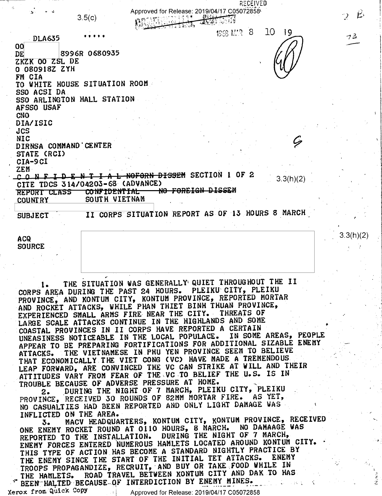RECEIVED Approved for Release: 2019/04/17 C05072858 **RANCHER MARKET**  $3.5(c)$ **REGISTER** 1968 M.R. 8  $10<sup>°</sup>$  $19$  $73$ **DLA635** 00 8996R 0680935 DE ZKZK 00 ZSL DE 0.080918Z ZYH FM CIA TO WHITE HOUSE SITUATION ROOM SSO ACSI DA SSO ARLINGTON HALL STATION AFSSO USAF **CNO** DIA/ISIC **JCS NIC** DIRNSA COMMAND CENTER STATE (RCI) CIA-9CI **ZEM** CONFIDENTIAL NOFORN DISSEM SECTION 1 OF 2  $3.3(h)(2)$ CITE TDCS 314/04203-68 (ADVANCE) NO FOREIGN DISSEM **CONFIDENTIAL** REPORT CLASS SOUTH VIETNAM **COUNTRY** II CORPS SITUATION REPORT AS OF 13 HOURS 8 MARCH **SUBJECT** 3.3(h)(2) **ACQ SOURCE** THE SITUATION WAS GENERALLY QUIET THROUGHOUT THE II  $1.$ CORPS AREA DURING THE PAST 24 HOURS. PLEIKU CITY, PLEIKU PROVINCE, AND KONTUM CITY, KONTUM PROVINCE, REPORTED MORTAR AND ROCKET ATTACKS, WHILE PHAN THIET BINH THUAN PROVINCE, EXPERIENCED SMALL ARMS FIRE NEAR THE CITY. THREATS OF LARGE SCALE ATTACKS CONTINUE IN THE HIGHLANDS AND SOME COASTAL PROVINCES IN II CORPS HAVE REPORTED A CERTAIN UNEASINESS NOTICEABLE IN THE LOCAL POPULACE. IN SOME AREAS, PEOPLE APPEAR TO BE PREPARING FORTIFICATIONS FOR ADDITIONAL SIZABLE ENEMY THE VIETNAMESE IN PHU YEN PROVINCE SEEM TO BELIEVE **ATTACKS.** THAT ECONOMICALLY THE VIET CONG (VC) HAVE MADE A TREMENDOUS LEAP FORWARD, ARE CONVINCED THE VC CAN STRIKE AT WILL AND THEIR ATTITUDES VARY FROM FEAR OF THE VC TO BELIEF THE U.S. IS IN

TROUBLE BECAUSE OF ADVERSE PRESSURE AT HOME. DURING THE NIGHT OF 7 MARCH, PLEIKU CITY, PLEIKU PROVINCE, RECEIVED 30 ROUNDS OF 82MM MORTAR FIRE. AS YET,

NO CASUALTIES HAD BEEN REPORTED AND ONLY LIGHT DAMAGE WAS INFLICTED ON THE AREA.

MACV HEADQUARTERS, KONTUM CITY, KONTUM PROVINCE, RECEIVED 3. ONE ENEMY ROCKET ROUND AT 0110 HOURS, 8 MARCH. NO DAMAAGE WAS REPORTED TO THE INSTALLATION. DURING THE NIGHT OF 7 MARCH, ENEMY FORCES ENTERED NUMEROUS HAMLETS LOCATED AROUND KONTUM CITY. THIS TYPE OF ACTION HAS BECOME A STANDARD NIGHTLY PRACTICE BY THE ENEMY SINCE THE START OF THE INITIAL TET ATTACKS. ENEMY TROOPS PROPAGANDIZE, RECRUIT, AND BUY OR TAKE FOOD WHILE IN **ENEMY** THE HAMLETS. ROAD TRAVEL BETWEEN KONTUM CITY AND DAK TO HAS BEEN HALTED BECAUSE OF INTERDICTION BY ENEMY MINES.

Xerox from Quick Copy

Approved for Release: 2019/04/17 C05072858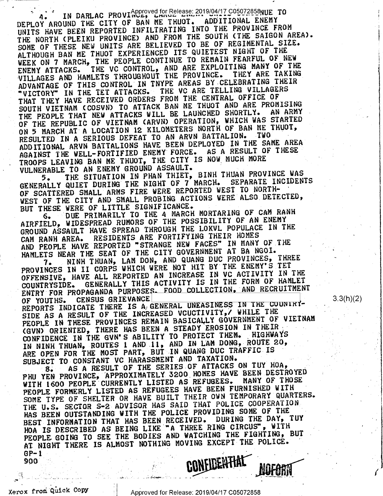4. IN DARLAC PROVINCE, LIMBERSE 2019/04/17 C05072858NUE TO<br>DEPLOY AROUND THE CITY OF BAN ME THUOT. ADDITIONAL ENEMY UNITS HAVE BEEN REPORTED INFILTRATING INTO THE PROVINCE FROM THE NORTH (PLEIKU PROVINCE) AND FROM THE SOUTH (THE SAIGON AREA). SOME OF THESE NEW UNITS ARE BELIEVED TO BE OF REGIMENTAL SIZE. ALTHOUGH BAN ME THUOT EXPERIENCED ITS QUIETEST NIGHT OF THE WEEK ON 7 MARCH, THE PEOPLE CONTINUE TO REMAIN FEARFUL OF NEW<br>ENEMY ATTACKS. THE VC CONTROL, AND ARE EXPLOITING MANY OF THE<br>VILLAGES AND HAMLETS THROUGHOUT THE PROVINCE. THEY ARE TAKING ADVANTAGE OF THIS CONTROL IN TNYPE AREAS BY CELEBRATING THEIR "VICTORY" IN THE TET ATTACKS. THE VC ARE TELLING VILLAGERS THAT THEY HAVE RECEIVED ORDERS FROM THE CENTRAL OFFICE OF SOUTH VIETNAM (COSVN) TO ATTACK BAN ME THUOT AND ARE PROMISING THE PEOPLE THAT NEW ATTACKS WILL BE LAUNCHED SHORTLY. AN ARMY OF THE REPUBLIC OF VIETNAM (ARVN) OPERATION, WHICH WAS STARTED ON 5 MARCH AT A LOCATION 12 KILOMETERS NORTH OF BAN ME THUOT, RESULTED IN A SERIOUS DEFEAT TO AN ARVN BATTALION. TWO ADDITIONAL ARVN BATTALIONS HAVE BEEN DEPLOYED IN THE SAME AREA AGAINST THE WELL-FORTIFIED ENEMY FORCE. AS A RESULT OF THESE TROOPS LEAVING BAN ME THUOT, THE CITY IS NOW MUCH MORE VULNERABLE TO AN ENEMY GROUND ASSAULT.

THE SITUATION IN PHAN THIET, BINH THUAN PROVINCE WAS 5. GENERALLY QUIET DURING THE NIGHT OF 7 MARCH. SEPARATE INCIDENTS OF SCATTERED SMALL ARMS FIRE WERE REPORTED WEST TO NORTH-WEST OF THE CITY AND SMALL PROBING ACTIONS WERE ALSO DETECTED, BUT THESE WERE OF LITTLE SIGNIFICANCE.

DUE PRIMARILY TO THE 4 MARCH MORTARING OF CAM RANH 6. AIRFIELD, WIDESPREAD RUMORS OF THE POSSIBILITY OF AN ENEMY GROUND ASSAULT HAVE SPREAD THROUGH THE LOKVL POPULACE IN THE CAM RANH AREA. RESIDENTS ARE FORTIFYING THEIR HOMES AND PEOPLE HAVE REPORTED "STRANGE NEW FACES" IN MANY OF THE HAMLETS NEAR THE SEAT OF THE CITY GOVERNMENT AT BA NGOI.

NINH THUAN, LAM DON, AND QUANG DUC PROVINCES, THREE PROVINCES IN II CORPS WHICH WERE NOT HIT BY THE ENEMY'S TET 7. OFFENSIVE, HAVE ALL REPORTED AN INCREASE IN VC ACTIVITY IN THE COUNTRYSIDE. GENERALLY THIS ACTIVITY IS IN THE FORM OF HAMLET ENTRY FOR PROPAGANDA PURPOSES. FOOD COLLECTION, AND RECRUITMENT OF YOUTHS. CENSUS GRIEVANCE

REPORTS INDICATE THERE IS A GENERAL UNEASINESS IN THE COUNTRY-SIDE AS A RESULT OF THE INCREASED VCUCTIVITY, WHILE THE PEOPLE IN THESE PROVINCES REMAIN BASICALLY GOVERNMENT OF VIETNAM (GVN) ORIENTED, THERE HAS BEEN A STEADY EROSION IN THEIR CONFIDENCE IN THE GVN'S ABILITY TO PROTECT THEM. HIGHWAYS IN NINH THUAN, ROUTES 1 AND 11, AND IN LAM DONG, ROUTE 20, ARE OPEN FOR THE MOST PART, BUT IN QUANG DUC TRAFFIC IS SUBJECT TO CONSTANT VC HARASSMENT AND TAXATION.

AS A RESULT OF THE SERIES OF ATTACKS ON TUY HOA, 8. . PHU YEN PROVINCE, APPROXIMATELY 3200 HOMES HAVE BEEN DESTROYED WITH 1600 PEOPLE CURRENTLY LISTED AS REFUGEES. MANY OF THOSE PEOPLE FORMERLY LISTED AS REFUGEES HAVE BEEN FURNISHED WITH SOME TYPE OF SHELTER OR HAVE BUILT THEIR OWN TEMPORARY QUARTERS. THE U.S. SECTOR S-2 ADVISOR HAS SAID THAT POLICE COOPERATION HAS BEEN OUTSTANDING WITH THE POLICE PROVIDING SOME OF THE BEST INFORMATION THAT HAS BEEN RECEIVED. DURING THE DAY, TUY HOA IS DESCRIBED AS BEING LIKE "A THREE RING CIRCUS", WITH PEOPLE GOING TO SEE THE BODIES AND WATCHING THE FIGHTING, BUT AT NIGHT THERE IS ALMOST NOTHING MOVING EXCEPT THE POLICE.  $GP-1$ **CONFIDENTIAL** 

 $3.3(h)(2)$ 

Xerox from Quick Copy

 $900$  .

Approved for Release: 2019/04/17 C05072858

**NOFORN**